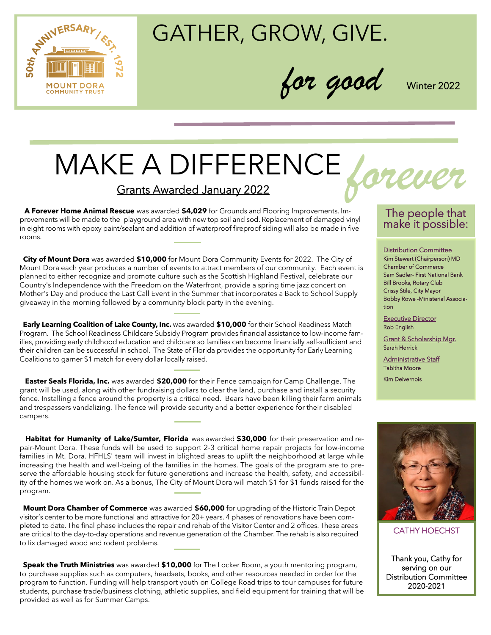

## GATHER, GROW, GIVE.

*for good* Winter 2022

# MAKE A DIFFERENCE Grants Awarded January 2022

 **A Forever Home Animal Rescue** was awarded **\$4,029** for Grounds and Flooring Improvements. Improvements will be made to the playground area with new top soil and sod. Replacement of damaged vinyl in eight rooms with epoxy paint/sealant and addition of waterproof fireproof siding will also be made in five rooms.

 **City of Mount Dora** was awarded **\$10,000** for Mount Dora Community Events for 2022. The City of Mount Dora each year produces a number of events to attract members of our community. Each event is planned to either recognize and promote culture such as the Scottish Highland Festival, celebrate our Country's Independence with the Freedom on the Waterfront, provide a spring time jazz concert on Mother's Day and produce the Last Call Event in the Summer that incorporates a Back to School Supply giveaway in the morning followed by a community block party in the evening.

 **Early Learning Coalition of Lake County, Inc.** was awarded **\$10,000** for their School Readiness Match Program. The School Readiness Childcare Subsidy Program provides financial assistance to low-income families, providing early childhood education and childcare so families can become financially self-sufficient and their children can be successful in school. The State of Florida provides the opportunity for Early Learning Coalitions to garner \$1 match for every dollar locally raised.

 **Easter Seals Florida, Inc.** was awarded **\$20,000** for their Fence campaign for Camp Challenge. The grant will be used, along with other fundraising dollars to clear the land, purchase and install a security fence. Installing a fence around the property is a critical need. Bears have been killing their farm animals and trespassers vandalizing. The fence will provide security and a better experience for their disabled campers.

**Habitat for Humanity of Lake/Sumter, Florida** was awarded **\$30,000** for their preservation and repair-Mount Dora. These funds will be used to support 2-3 critical home repair projects for low-income families in Mt. Dora. HFHLS' team will invest in blighted areas to uplift the neighborhood at large while increasing the health and well-being of the families in the homes. The goals of the program are to preserve the affordable housing stock for future generations and increase the health, safety, and accessibility of the homes we work on. As a bonus, The City of Mount Dora will match \$1 for \$1 funds raised for the program.

 **Mount Dora Chamber of Commerce** was awarded **\$60,000** for upgrading of the Historic Train Depot visitor's center to be more functional and attractive for 20+ years. 4 phases of renovations have been completed to date. The final phase includes the repair and rehab of the Visitor Center and 2 offices. These areas are critical to the day-to-day operations and revenue generation of the Chamber. The rehab is also required to fix damaged wood and rodent problems.

 **Speak the Truth Ministries** was awarded **\$10,000** for The Locker Room, a youth mentoring program, to purchase supplies such as computers, headsets, books, and other resources needed in order for the program to function. Funding will help transport youth on College Road trips to tour campuses for future students, purchase trade/business clothing, athletic supplies, and field equipment for training that will be provided as well as for Summer Camps.

### The people that make it possible:

Distribution Committee Kim Stewart (Chairperson) MD Chamber of Commerce Sam Sadler- First National Bank Bill Brooks, Rotary Club Crissy Stile, City Mayor Bobby Rowe -Ministerial Association

Executive Director Rob English

Grant & Scholarship Mgr. Sarah Herrick

Administrative Staff Tabitha Moore

Kim Deivernois



CATHY HOECHST

Thank you, Cathy for serving on our Distribution Committee 2020-2021